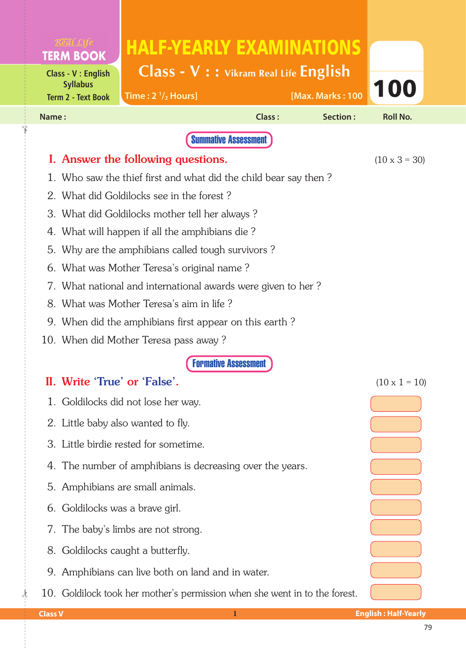|                                           | <b>TERM BOOK</b>                                                           | <b>HALF-YEARLY EXAMINATIONS</b>          |        |                  |                      |  |  |  |  |  |
|-------------------------------------------|----------------------------------------------------------------------------|------------------------------------------|--------|------------------|----------------------|--|--|--|--|--|
|                                           | <b>Class - V: English</b>                                                  | $Class - V : :$ Vikram Real Life English |        |                  |                      |  |  |  |  |  |
|                                           | <b>Syllabus</b><br><b>Term 2 - Text Book</b>                               | Time: $2 \frac{1}{2}$ Hours]             |        | [Max. Marks: 100 | 100                  |  |  |  |  |  |
| Name:                                     |                                                                            |                                          | Class: | <b>Section:</b>  | <b>Roll No.</b>      |  |  |  |  |  |
|                                           |                                                                            | <b>Summative Assessment</b>              |        |                  |                      |  |  |  |  |  |
|                                           | I. Answer the following questions.<br>$(10 \times 3 = 30)$                 |                                          |        |                  |                      |  |  |  |  |  |
|                                           | 1. Who saw the thief first and what did the child bear say then?           |                                          |        |                  |                      |  |  |  |  |  |
| 2. What did Goldilocks see in the forest? |                                                                            |                                          |        |                  |                      |  |  |  |  |  |
|                                           | 3. What did Goldilocks mother tell her always?                             |                                          |        |                  |                      |  |  |  |  |  |
| 4.                                        | What will happen if all the amphibians die?                                |                                          |        |                  |                      |  |  |  |  |  |
| 5.                                        | Why are the amphibians called tough survivors?                             |                                          |        |                  |                      |  |  |  |  |  |
| 6.                                        | What was Mother Teresa's original name?                                    |                                          |        |                  |                      |  |  |  |  |  |
|                                           | 7. What national and international awards were given to her?               |                                          |        |                  |                      |  |  |  |  |  |
|                                           | 8. What was Mother Teresa's aim in life?                                   |                                          |        |                  |                      |  |  |  |  |  |
|                                           | 9. When did the amphibians first appear on this earth?                     |                                          |        |                  |                      |  |  |  |  |  |
|                                           |                                                                            | 10. When did Mother Teresa pass away?    |        |                  |                      |  |  |  |  |  |
|                                           |                                                                            |                                          |        |                  |                      |  |  |  |  |  |
|                                           |                                                                            | II. Write 'True' or 'False'.             |        |                  | $(10 \times 1 = 10)$ |  |  |  |  |  |
|                                           | 1. Goldilocks did not lose her way.                                        |                                          |        |                  |                      |  |  |  |  |  |
|                                           | 2. Little baby also wanted to fly.                                         |                                          |        |                  |                      |  |  |  |  |  |
|                                           | 3. Little birdie rested for sometime.                                      |                                          |        |                  |                      |  |  |  |  |  |
|                                           | 4. The number of amphibians is decreasing over the years.                  |                                          |        |                  |                      |  |  |  |  |  |
|                                           | 5. Amphibians are small animals.                                           |                                          |        |                  |                      |  |  |  |  |  |
|                                           | 6. Goldilocks was a brave girl.                                            |                                          |        |                  |                      |  |  |  |  |  |
|                                           | 7. The baby's limbs are not strong.                                        |                                          |        |                  |                      |  |  |  |  |  |
|                                           | 8. Goldilocks caught a butterfly.                                          |                                          |        |                  |                      |  |  |  |  |  |
|                                           | 9. Amphibians can live both on land and in water.                          |                                          |        |                  |                      |  |  |  |  |  |
|                                           | 10. Goldilock took her mother's permission when she went in to the forest. |                                          |        |                  |                      |  |  |  |  |  |

 $\frac{1}{2}$ 

✁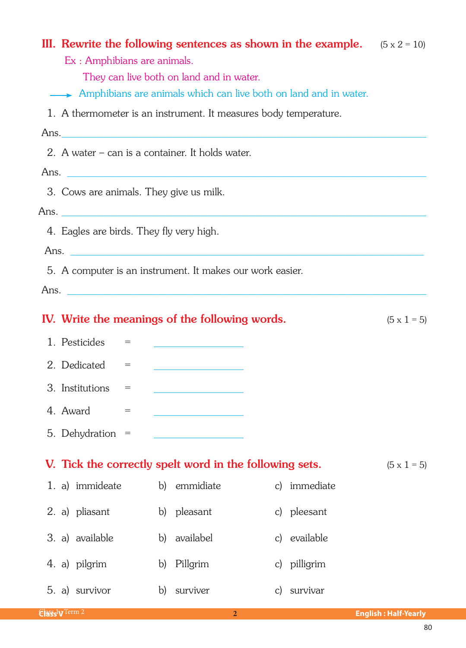| III. Rewrite the following sentences as shown in the example. $(5 \times 2 = 10)$<br>Ex : Amphibians are animals.<br>They can live both on land and in water. |              |                                         |  |              |                    |  |  |  |  |
|---------------------------------------------------------------------------------------------------------------------------------------------------------------|--------------|-----------------------------------------|--|--------------|--------------------|--|--|--|--|
| Amphibians are animals which can live both on land and in water.                                                                                              |              |                                         |  |              |                    |  |  |  |  |
| 1. A thermometer is an instrument. It measures body temperature.                                                                                              |              |                                         |  |              |                    |  |  |  |  |
|                                                                                                                                                               |              |                                         |  |              |                    |  |  |  |  |
| 2. A water – can is a container. It holds water.                                                                                                              |              |                                         |  |              |                    |  |  |  |  |
| Ans.                                                                                                                                                          |              |                                         |  |              |                    |  |  |  |  |
| 3. Cows are animals. They give us milk.                                                                                                                       |              |                                         |  |              |                    |  |  |  |  |
|                                                                                                                                                               |              |                                         |  |              |                    |  |  |  |  |
| 4. Eagles are birds. They fly very high.                                                                                                                      |              |                                         |  |              |                    |  |  |  |  |
|                                                                                                                                                               |              |                                         |  |              |                    |  |  |  |  |
| 5. A computer is an instrument. It makes our work easier.                                                                                                     |              |                                         |  |              |                    |  |  |  |  |
|                                                                                                                                                               |              |                                         |  |              |                    |  |  |  |  |
| IV. Write the meanings of the following words.                                                                                                                |              |                                         |  |              | $(5 \times 1 = 5)$ |  |  |  |  |
| 1. Pesticides<br>$=$ $\qquad$                                                                                                                                 |              | <u> 1999 - Johann Barn, mars et al.</u> |  |              |                    |  |  |  |  |
| 2. Dedicated<br>$=$                                                                                                                                           |              |                                         |  |              |                    |  |  |  |  |
| 3. Institutions<br>$\displaystyle \qquad \qquad =\qquad \qquad$                                                                                               |              |                                         |  |              |                    |  |  |  |  |
| 4. Award<br>$=$                                                                                                                                               |              |                                         |  |              |                    |  |  |  |  |
| 5. Dehydration =                                                                                                                                              |              |                                         |  |              |                    |  |  |  |  |
| V. Tick the correctly spelt word in the following sets.                                                                                                       |              |                                         |  |              | $(5 \times 1 = 5)$ |  |  |  |  |
| 1. a) immideate                                                                                                                                               |              | b) emmidiate                            |  | c) immediate |                    |  |  |  |  |
| 2. a) pliasant                                                                                                                                                |              | b) pleasant                             |  | c) pleesant  |                    |  |  |  |  |
| 3. a) available                                                                                                                                               |              | b) availabel                            |  | c) evailable |                    |  |  |  |  |
| 4. a) pilgrim                                                                                                                                                 |              | b) Pillgrim                             |  | c) pilligrim |                    |  |  |  |  |
| 5. a) survivor                                                                                                                                                | $\mathbf{b}$ | surviver                                |  | c) survivar  |                    |  |  |  |  |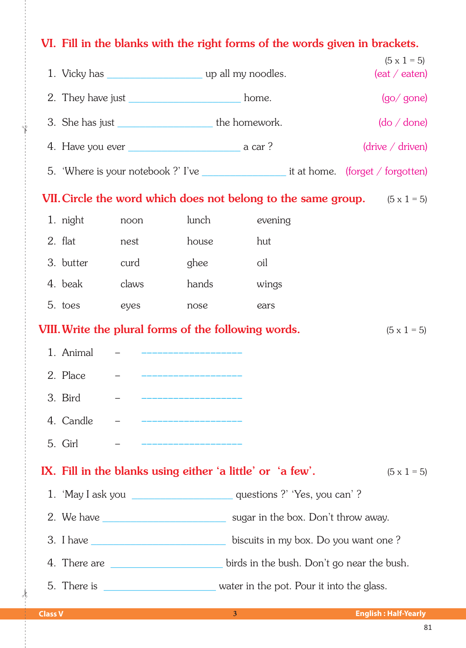## VI. Fill in the blanks with the right forms of the words given in brackets.  $(5 \times 1 = 5)$ 1. Vicky has serve that the up all my noodles.  $($ eat / eaten $)$ 2. They have just state of the state of the home.  $(qo/$  gone) 3. She has just the homework.  $(do / done)$  $(drive / driven)$ 5. 'Where is your notebook ?' I've it at home. (forget / forgotten) VII. Circle the word which does not belong to the same group.  $(5 \times 1 = 5)$ 1. night  $l$ unch evening noon  $2$  flat house hut nest 3. butter ghee curd oil 4 heak claws hands wings 5. toes eyes nose ears VIII. Write the plural forms of the following words.  $(5 \times 1 = 5)$ 1. Animal 2. Place 3. Bird 4. Candle 5. Girl IX. Fill in the blanks using either 'a little' or 'a few'.  $(5 \times 1 = 5)$ 1. 'May I ask you \_\_\_\_\_\_\_\_\_\_\_\_\_\_\_\_\_\_\_\_\_\_\_\_\_\_\_\_ questions ?' 'Yes, you can' ? 2. We have <u>construction of the sugar in the box</u>. Don't throw away. 3. I have biscuits in my box. Do you want one? 4. There are <u>entitled</u> the birds in the bush. Don't go near the bush.

 $\overline{3}$ 

## **Class V**